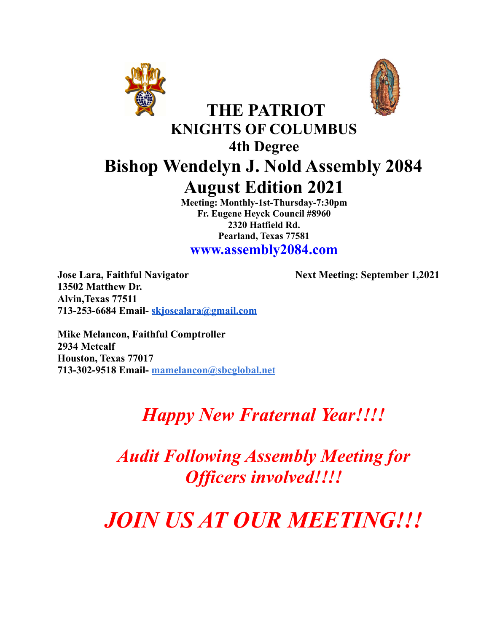



## **KNIGHTS OF COLUMBUS 4th Degree Bishop Wendelyn J. Nold Assembly 2084 August Edition 2021**

**THE PATRIOT**

**Meeting: Monthly-1st-Thursday-7:30pm Fr. Eugene Heyck Council #8960 2320 Hatfield Rd. Pearland, Texas 77581**

**www.assembly2084.com**

**Jose Lara, Faithful Navigator Next Meeting: September 1,2021 13502 Matthew Dr. Alvin,Texas 77511 713-253-6684 Email- [skjosealara@gmail.com](mailto:skjosealara@gmail.com)**

**Mike Melancon, Faithful Comptroller 2934 Metcalf Houston, Texas 77017 713-302-9518 Email- mamelancon@sbcglobal.net**

# *Happy New Fraternal Year!!!!*

*Audit Following Assembly Meeting for Of icers involved!!!!*

*JOIN US AT OUR MEETING!!!*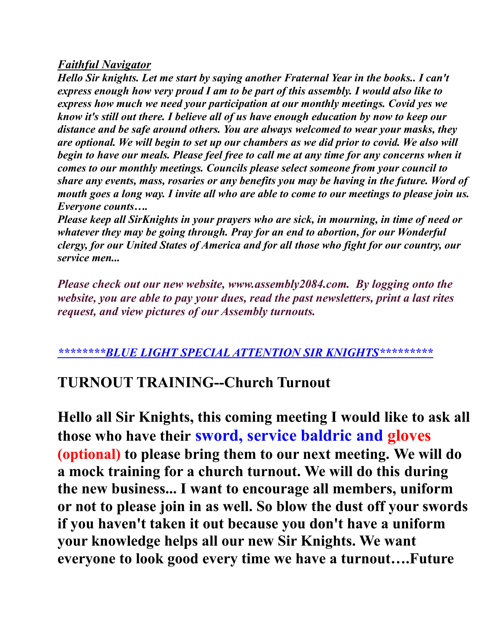#### *Faithful Navigator*

*Hello Sir knights. Let me start by saying another Fraternal Year in the books.. I can't express enough how very proud I am to be part of this assembly. I would also like to express how much we need your participation at our monthly meetings. Covid yes we know it's still out there. I believe all of us have enough education by now to keep our distance and be safe around others. You are always welcomed to wear your masks, they are optional. We will begin to set up our chambers as we did prior to covid. We also will begin to have our meals. Please feel free to call me at any time for any concerns when it comes to our monthly meetings. Councils please select someone from your council to share any events, mass, rosaries or any benefits you may be having in the future. Word of* mouth goes a long way. I invite all who are able to come to our meetings to please join us. *Everyone counts….*

*Please keep all SirKnights in your prayers who are sick, in mourning, in time of need or whatever they may be going through. Pray for an end to abortion, for our Wonderful clergy, for our United States of America and for all those who fight for our country, our service men...*

*Please check out our new website, www.assembly2084.com. By logging onto the website, you are able to pay your dues, read the past newsletters, print a last rites request, and view pictures of our Assembly turnouts.*

## *\*\*\*\*\*\*\*\*BLUE LIGHT SPECIAL ATTENTION SIR KNIGHTS\*\*\*\*\*\*\*\*\**

## **TURNOUT TRAINING--Church Turnout**

**Hello all Sir Knights, this coming meeting I would like to ask all those who have their sword, service baldric and gloves (optional) to please bring them to our next meeting. We will do a mock training for a church turnout. We will do this during the new business... I want to encourage all members, uniform or not to please join in as well. So blow the dust off your swords if you haven't taken it out because you don't have a uniform your knowledge helps all our new Sir Knights. We want everyone to look good every time we have a turnout….Future**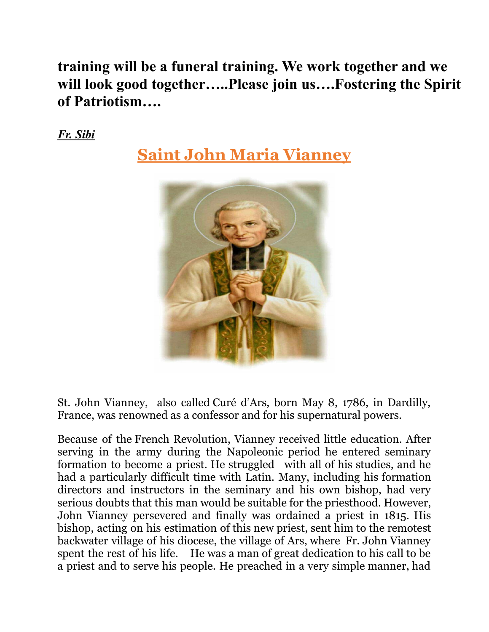**training will be a funeral training. We work together and we will look good together…..Please join us….Fostering the Spirit of Patriotism….**

*Fr. Sibi*

**Saint John Maria Vianney**



St. John Vianney, also called Curé d'Ars, born May 8, 1786, in Dardilly, France, was renowned as a confessor and for his supernatural powers.

Because of the French [Revolution](https://www.britannica.com/event/French-Revolution), Vianney received little education. After serving in the army during the Napoleonic period he entered seminary formation to become a priest. He struggled with all of his studies, and he had a particularly difficult time with Latin. Many, including his formation directors and instructors in the seminary and his own bishop, had very serious doubts that this man would be suitable for the priesthood. However, John Vianney persevered and finally was ordained a priest in 1815. His bishop, acting on his estimation of this new priest, sent him to the remotest backwater village of his diocese, the village of Ars, where Fr. John Vianney spent the rest of his life. He was a man of great dedication to his call to be a priest and to serve his people. He preached in a very simple manner, had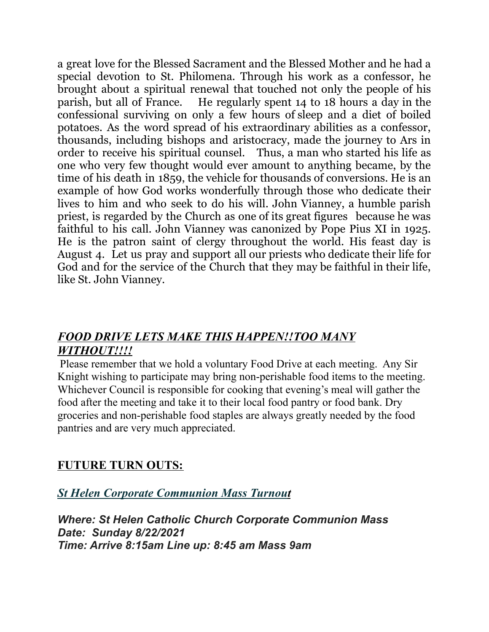a great love for the Blessed Sacrament and the Blessed Mother and he had a special devotion to St. Philomena. Through his work as a confessor, he brought about a spiritual renewal that touched not only the people of his parish, but all of France. He regularly spent 14 to 18 hours a day in the confessional surviving on only a few hours of sleep and a diet of boiled potatoes. As the word spread of his extraordinary abilities as a confessor, thousands, including bishops and aristocracy, made the journey to Ars in order to receive his spiritual counsel. Thus, a man who started his life as one who very few thought would ever amount to anything became, by the time of his death in 1859, the vehicle for thousands of conversions. He is an example of how God works wonderfully through those who dedicate their lives to him and who seek to do his will. John Vianney, a humble parish priest, is regarded by the Church as one of its great figures because he was faithful to his call. John Vianney was canonized by Pope Pius XI in 1925. He is the patron saint of clergy throughout the world. His feast day is August 4. Let us pray and support all our priests who dedicate their life for God and for the service of the Church that they may be faithful in their life, like St. John Vianney.

## *FOOD DRIVE LETS MAKE THIS HAPPEN!!TOO MANY WITHOUT!!!!*

Please remember that we hold a voluntary Food Drive at each meeting. Any Sir Knight wishing to participate may bring non-perishable food items to the meeting. Whichever Council is responsible for cooking that evening's meal will gather the food after the meeting and take it to their local food pantry or food bank. Dry groceries and non-perishable food staples are always greatly needed by the food pantries and are very much appreciated.

## **FUTURE TURN OUTS:**

*St Helen Corporate Communion Mass Turnout*

*Where: St Helen Catholic Church Corporate Communion Mass Date: Sunday 8/22/2021 Time: Arrive 8:15am Line up: 8:45 am Mass 9am*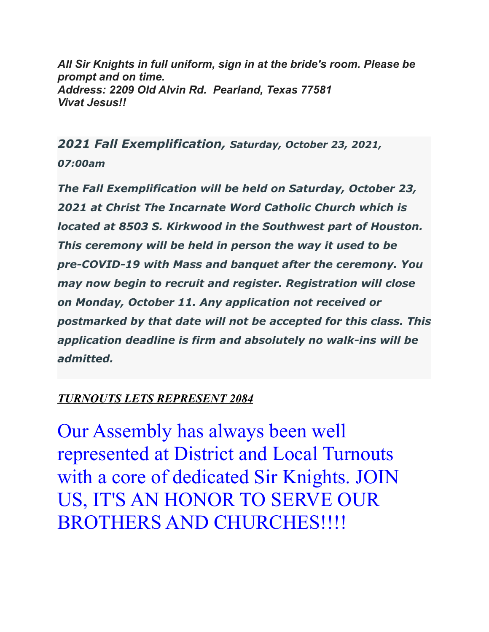*All Sir Knights in full uniform, sign in at the bride's room. Please be prompt and on time. Address: 2209 Old Alvin Rd. Pearland, Texas 77581 Vivat Jesus!!*

*2021 Fall Exemplification, Saturday, October 23, 2021, 07:00am*

*The Fall Exemplification will be held on Saturday, October 23, 2021 at Christ The Incarnate Word Catholic Church which is located at 8503 S. Kirkwood in the Southwest part of Houston. This ceremony will be held in person the way it used to be pre-COVID-19 with Mass and banquet after the ceremony. You may now begin to recruit and register. Registration will close on Monday, October 11. Any application not received or postmarked by that date will not be accepted for this class. This application deadline is firm and absolutely no walk-ins will be admitted.*

## *TURNOUTS LETS REPRESENT 2084*

Our Assembly has always been well represented at District and Local Turnouts with a core of dedicated Sir Knights. JOIN US, IT'S AN HONOR TO SERVE OUR BROTHERS AND CHURCHES!!!!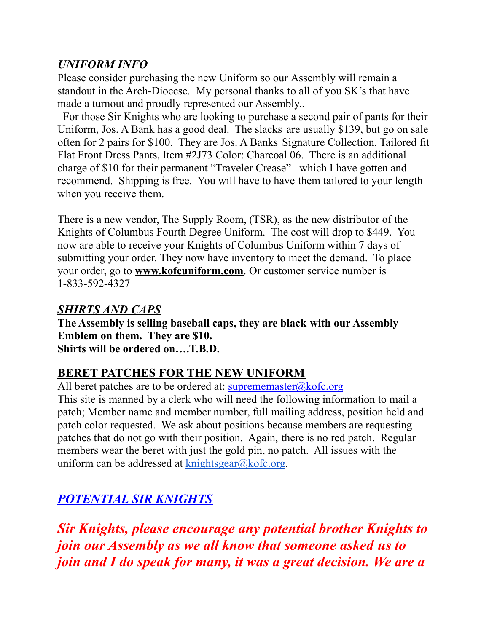## *UNIFORM INFO*

Please consider purchasing the new Uniform so our Assembly will remain a standout in the Arch-Diocese. My personal thanks to all of you SK's that have made a turnout and proudly represented our Assembly..

For those Sir Knights who are looking to purchase a second pair of pants for their Uniform, Jos. A Bank has a good deal. The slacks are usually \$139, but go on sale often for 2 pairs for \$100. They are Jos. A Banks Signature Collection, Tailored fit Flat Front Dress Pants, Item #2J73 Color: Charcoal 06. There is an additional charge of \$10 for their permanent "Traveler Crease" which I have gotten and recommend. Shipping is free. You will have to have them tailored to your length when you receive them.

There is a new vendor, The Supply Room, (TSR), as the new distributor of the Knights of Columbus Fourth Degree Uniform. The cost will drop to \$449. You now are able to receive your Knights of Columbus Uniform within 7 days of submitting your order. They now have inventory to meet the demand. To place your order, go to **www.kofcuniform.com**. Or customer service number is 1-833-592-4327

### *SHIRTS AND CAPS*

**The Assembly is selling baseball caps, they are black with our Assembly Emblem on them. They are \$10. Shirts will be ordered on….T.B.D.**

## **BERET PATCHES FOR THE NEW UNIFORM**

All beret patches are to be ordered at:  $suprememaster@kofc.org$ This site is manned by a clerk who will need the following information to mail a patch; Member name and member number, full mailing address, position held and patch color requested. We ask about positions because members are requesting patches that do not go with their position. Again, there is no red patch. Regular members wear the beret with just the gold pin, no patch. All issues with the uniform can be addressed at  $k$ nightsgear $@k$ ofc.org.

## *POTENTIAL SIR KNIGHTS*

*Sir Knights, please encourage any potential brother Knights to join our Assembly as we all know that someone asked us to join and I do speak for many, it was a great decision. We are a*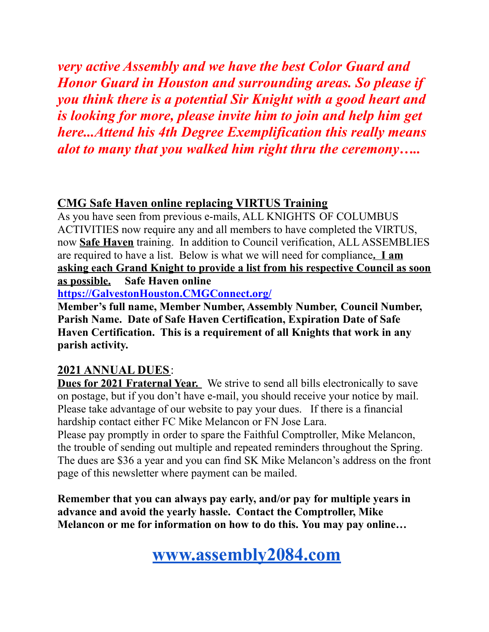*very active Assembly and we have the best Color Guard and Honor Guard in Houston and surrounding areas. So please if you think there is a potential Sir Knight with a good heart and is looking for more, please invite him to join and help him get here...Attend his 4th Degree Exemplification this really means alot to many that you walked him right thru the ceremony…..*

## **CMG Safe Haven online replacing VIRTUS Training**

As you have seen from previous e-mails, ALL KNIGHTS OF COLUMBUS ACTIVITIES now require any and all members to have completed the VIRTUS, now **Safe Haven** training. In addition to Council verification, ALL ASSEMBLIES are required to have a list. Below is what we will need for compliance**. I am asking each Grand Knight to provide a list from his respective Council as soon as possible. Safe Haven online**

**[https://GalvestonHouston.CMGConnect.org/](https://galvestonhouston.cmgconnect.org/)**

**Member's full name, Member Number, Assembly Number, Council Number, Parish Name. Date of Safe Haven Certification, Expiration Date of Safe Haven Certification. This is a requirement of all Knights that work in any parish activity.**

## **2021 ANNUAL DUES**:

**Dues for 2021 Fraternal Year.** We strive to send all bills electronically to save on postage, but if you don't have e-mail, you should receive your notice by mail. Please take advantage of our website to pay your dues. If there is a financial hardship contact either FC Mike Melancon or FN Jose Lara.

Please pay promptly in order to spare the Faithful Comptroller, Mike Melancon, the trouble of sending out multiple and repeated reminders throughout the Spring. The dues are \$36 a year and you can find SK Mike Melancon's address on the front page of this newsletter where payment can be mailed.

**Remember that you can always pay early, and/or pay for multiple years in advance and avoid the yearly hassle. Contact the Comptroller, Mike Melancon or me for information on how to do this. You may pay online…**

## **[www.assembly2084.com](http://www.assembly2084.com)**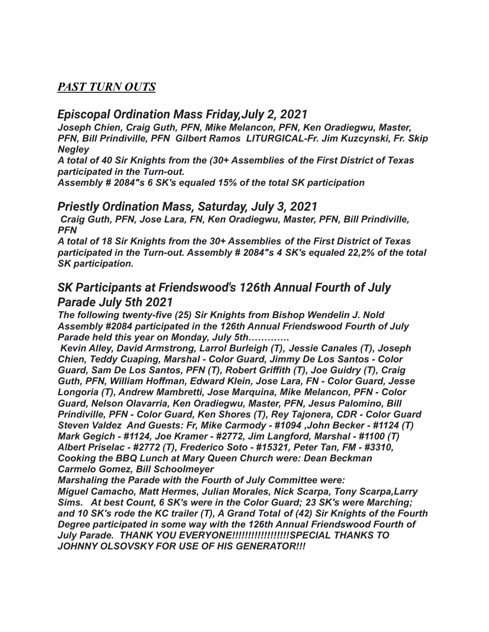### *PAST TURN OUTS*

## *Episcopal Ordination Mass Friday,July 2, 2021*

*Joseph Chien, Craig Guth, PFN, Mike Melancon, PFN, Ken Oradiegwu, Master, PFN, Bill Prindiville, PFN Gilbert Ramos LITURGICAL-Fr. Jim Kuzcynski, Fr. Skip Negley*

*A total of 40 Sir Knights from the (30+ Assemblies of the First District of Texas participated in the Turn-out.*

*Assembly # 2084"s 6 SK's equaled 15% of the total SK participation*

#### *Priestly Ordination Mass, Saturday, July 3, 2021*

*Craig Guth, PFN, Jose Lara, FN, Ken Oradiegwu, Master, PFN, Bill Prindiville, PFN*

*A total of 18 Sir Knights from the 30+ Assemblies of the First District of Texas participated in the Turn-out. Assembly # 2084"s 4 SK's equaled 22,2% of the total SK participation.*

## *SK Participants at Friendswood's 126th Annual Fourth of July Parade July 5th 2021*

*The following twenty-five (25) Sir Knights from Bishop Wendelin J. Nold Assembly #2084 participated in the 126th Annual Friendswood Fourth of July Parade held this year on Monday, July 5th………….*

*Kevin Alley, David Armstrong, Larrol Burleigh (T), Jessie Canales (T), Joseph Chien, Teddy Cuaping, Marshal - Color Guard, Jimmy De Los Santos - Color Guard, Sam De Los Santos, PFN (T), Robert Griffith (T), Joe Guidry (T), Craig Guth, PFN, William Hoffman, Edward Klein, Jose Lara, FN - Color Guard, Jesse Longoria (T), Andrew Mambretti, Jose Marquina, Mike Melancon, PFN - Color Guard, Nelson Olavarria, Ken Oradiegwu, Master, PFN, Jesus Palomino, Bill Prindiville, PFN - Color Guard, Ken Shores (T), Rey Tajonera, CDR - Color Guard Steven Valdez And Guests: Fr, Mike Carmody - #1094 ,John Becker - #1124 (T) Mark Gegich - #1124, Joe Kramer - #2772, Jim Langford, Marshal - #1100 (T) Albert Priselac - #2772 (T), Frederico Soto - #15321, Peter Tan, FM - #3310, Cooking the BBQ Lunch at Mary Queen Church were: Dean Beckman Carmelo Gomez, Bill Schoolmeyer*

*Marshaling the Parade with the Fourth of July Committee were: Miguel Camacho, Matt Hermes, Julian Morales, Nick Scarpa, Tony Scarpa,Larry Sims. At best Count, 6 SK's were in the Color Guard; 23 SK's were Marching; and 10 SK's rode the KC trailer (T), A Grand Total of (42) Sir Knights of the Fourth Degree participated in some way with the 126th Annual Friendswood Fourth of July Parade. THANK YOU EVERYONE!!!!!!!!!!!!!!!!!!SPECIAL THANKS TO JOHNNY OLSOVSKY FOR USE OF HIS GENERATOR!!!*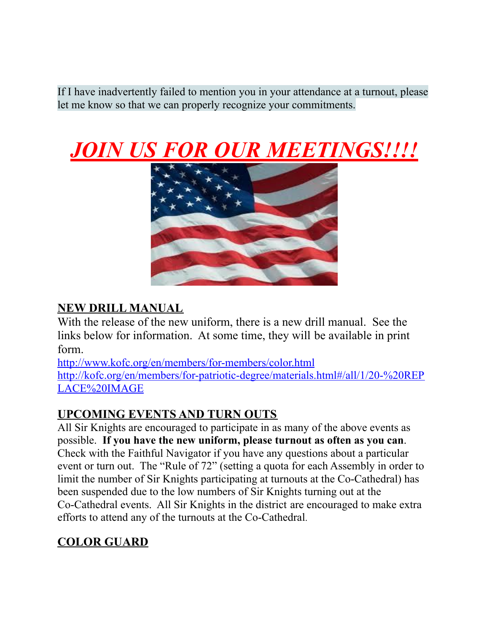If I have inadvertently failed to mention you in your attendance at a turnout, please let me know so that we can properly recognize your commitments.





## **NEW DRILL MANUAL**

With the release of the new uniform, there is a new drill manual. See the links below for information. At some time, they will be available in print form.

<http://www.kofc.org/en/members/for-members/color.html> [http://kofc.org/en/members/for-patriotic-degree/materials.html#/all/1/20-%20REP](http://kofc.org/en/members/for-patriotic-degree/materials.html#/all/1/20-%20REPLACE%20IMAGE) [LACE%20IMAGE](http://kofc.org/en/members/for-patriotic-degree/materials.html#/all/1/20-%20REPLACE%20IMAGE)

## **UPCOMING EVENTS AND TURN OUTS**

All Sir Knights are encouraged to participate in as many of the above events as possible. **If you have the new uniform, please turnout as often as you can**. Check with the Faithful Navigator if you have any questions about a particular event or turn out. The "Rule of 72" (setting a quota for each Assembly in order to limit the number of Sir Knights participating at turnouts at the Co-Cathedral) has been suspended due to the low numbers of Sir Knights turning out at the Co-Cathedral events. All Sir Knights in the district are encouraged to make extra efforts to attend any of the turnouts at the Co-Cathedral.

## **COLOR GUARD**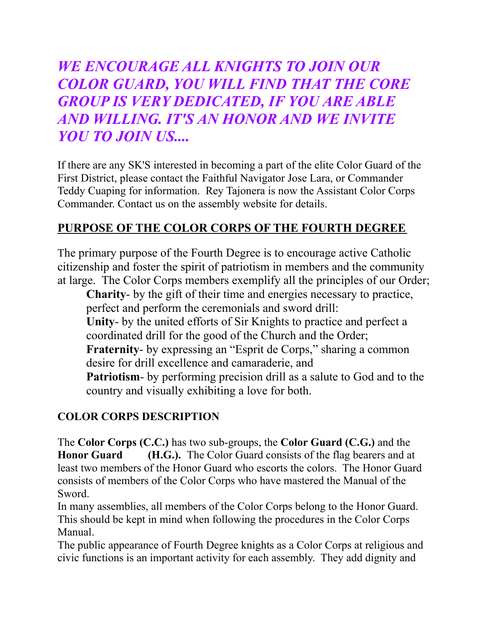*WE ENCOURAGE ALL KNIGHTS TO JOIN OUR COLOR GUARD, YOU WILL FIND THAT THE CORE GROUP IS VERY DEDICATED, IF YOU ARE ABLE AND WILLING. IT'S AN HONOR AND WE INVITE YOU TO JOIN US....*

If there are any SK'S interested in becoming a part of the elite Color Guard of the First District, please contact the Faithful Navigator Jose Lara, or Commander Teddy Cuaping for information. Rey Tajonera is now the Assistant Color Corps Commander. Contact us on the assembly website for details.

## **PURPOSE OF THE COLOR CORPS OF THE FOURTH DEGREE**

The primary purpose of the Fourth Degree is to encourage active Catholic citizenship and foster the spirit of patriotism in members and the community at large. The Color Corps members exemplify all the principles of our Order;

**Charity**- by the gift of their time and energies necessary to practice, perfect and perform the ceremonials and sword drill: **Unity**- by the united efforts of Sir Knights to practice and perfect a coordinated drill for the good of the Church and the Order; **Fraternity-** by expressing an "Esprit de Corps," sharing a common desire for drill excellence and camaraderie, and **Patriotism**- by performing precision drill as a salute to God and to the country and visually exhibiting a love for both.

## **COLOR CORPS DESCRIPTION**

The **Color Corps (C.C.)** has two sub-groups, the **Color Guard (C.G.)** and the **Honor Guard (H.G.).** The Color Guard consists of the flag bearers and at least two members of the Honor Guard who escorts the colors. The Honor Guard consists of members of the Color Corps who have mastered the Manual of the Sword.

In many assemblies, all members of the Color Corps belong to the Honor Guard. This should be kept in mind when following the procedures in the Color Corps Manual.

The public appearance of Fourth Degree knights as a Color Corps at religious and civic functions is an important activity for each assembly. They add dignity and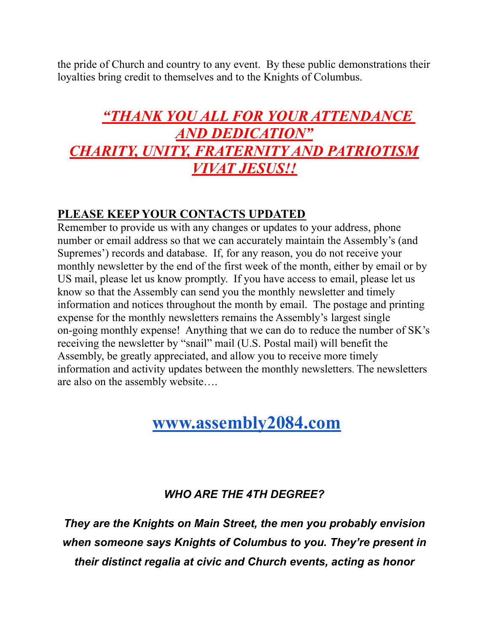the pride of Church and country to any event. By these public demonstrations their loyalties bring credit to themselves and to the Knights of Columbus.

## *"THANK YOU ALL FOR YOUR ATTENDANCE AND DEDICATION" CHARITY, UNITY, FRATERNITY AND PATRIOTISM VIVAT JESUS!!*

## **PLEASE KEEP YOUR CONTACTS UPDATED**

Remember to provide us with any changes or updates to your address, phone number or email address so that we can accurately maintain the Assembly's (and Supremes') records and database. If, for any reason, you do not receive your monthly newsletter by the end of the first week of the month, either by email or by US mail, please let us know promptly. If you have access to email, please let us know so that the Assembly can send you the monthly newsletter and timely information and notices throughout the month by email. The postage and printing expense for the monthly newsletters remains the Assembly's largest single on-going monthly expense! Anything that we can do to reduce the number of SK's receiving the newsletter by "snail" mail (U.S. Postal mail) will benefit the Assembly, be greatly appreciated, and allow you to receive more timely information and activity updates between the monthly newsletters. The newsletters are also on the assembly website….

## **[www.assembly2084.com](http://www.assembly2084.com)**

## *WHO ARE THE 4TH DEGREE?*

*They are the Knights on Main Street, the men you probably envision when someone says Knights of Columbus to you. They're present in their distinct regalia at civic and Church events, acting as honor*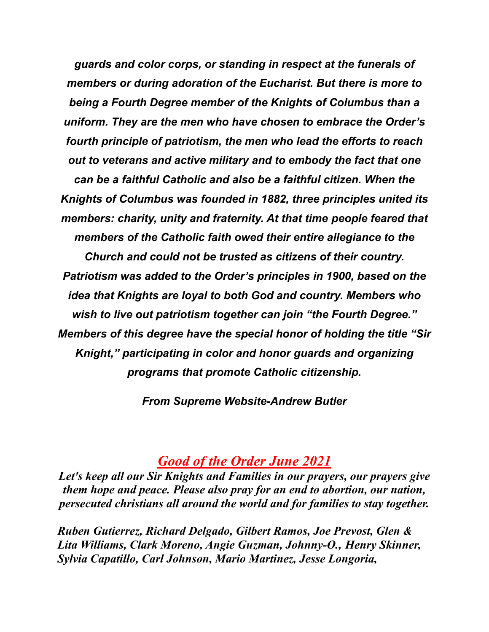*guards and color corps, or standing in respect at the funerals of members or during adoration of the Eucharist. But there is more to being a Fourth Degree member of the Knights of Columbus than a uniform. They are the men who have chosen to embrace the Order's fourth principle of patriotism, the men who lead the efforts to reach out to veterans and active military and to embody the fact that one can be a faithful Catholic and also be a faithful citizen. When the Knights of Columbus was founded in 1882, three principles united its members: charity, unity and fraternity. At that time people feared that members of the Catholic faith owed their entire allegiance to the Church and could not be trusted as citizens of their country. Patriotism was added to the Order's principles in 1900, based on the idea that Knights are loyal to both God and country. Members who wish to live out patriotism together can join "the Fourth Degree." Members of this degree have the special honor of holding the title "Sir Knight," participating in color and honor guards and organizing programs that promote Catholic citizenship.*

*From Supreme Website-Andrew Butler*

## *Good of the Order June 2021*

*Let's keep all our Sir Knights and Families in our prayers, our prayers give them hope and peace. Please also pray for an end to abortion, our nation, persecuted christians all around the world and for families to stay together.*

*Ruben Gutierrez, Richard Delgado, Gilbert Ramos, Joe Prevost, Glen & Lita Williams, Clark Moreno, Angie Guzman, Johnny-O., Henry Skinner, Sylvia Capatillo, Carl Johnson, Mario Martinez, Jesse Longoria,*